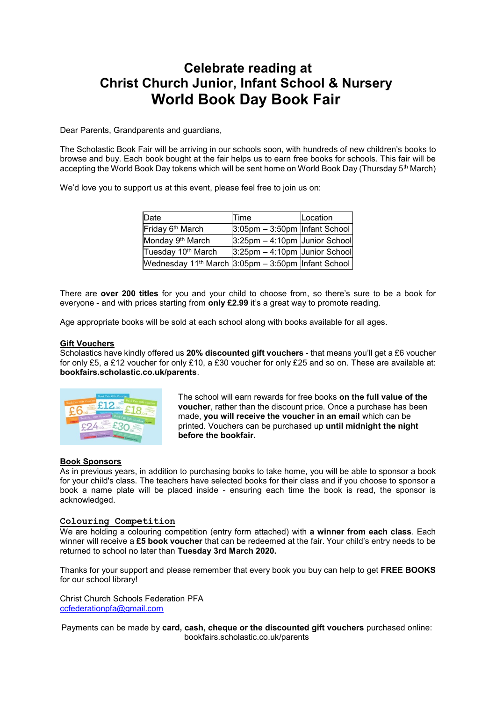## **Celebrate reading at Christ Church Junior, Infant School & Nursery World Book Day Book Fair**

Dear Parents, Grandparents and guardians,

The Scholastic Book Fair will be arriving in our schools soon, with hundreds of new children's books to browse and buy. Each book bought at the fair helps us to earn free books for schools. This fair will be accepting the World Book Day tokens which will be sent home on World Book Day (Thursday 5<sup>th</sup> March)

We'd love you to support us at this event, please feel free to join us on:

| Date                                                            | Time                              | Location |
|-----------------------------------------------------------------|-----------------------------------|----------|
| Friday 6 <sup>th</sup> March                                    | $3:05$ pm - 3:50pm Infant School  |          |
| Monday 9 <sup>th</sup> March                                    | $ 3:25$ pm - 4:10pm Junior School |          |
| Tuesday 10 <sup>th</sup> March                                  | $3:25$ pm - 4:10pm Junior School  |          |
| Wednesday 11 <sup>th</sup> March 3:05pm - 3:50pm linfant School |                                   |          |

There are **over 200 titles** for you and your child to choose from, so there's sure to be a book for everyone - and with prices starting from **only £2.99** it's a great way to promote reading.

Age appropriate books will be sold at each school along with books available for all ages.

## **Gift Vouchers**

Scholastics have kindly offered us **20% discounted gift vouchers** - that means you'll get a £6 voucher for only £5, a £12 voucher for only £10, a £30 voucher for only £25 and so on. These are available at: **bookfairs.scholastic.co.uk/parents**.



The school will earn rewards for free books **on the full value of the voucher**, rather than the discount price. Once a purchase has been made, **you will receive the voucher in an email** which can be printed. Vouchers can be purchased up **until midnight the night before the bookfair.**

## **Book Sponsors**

As in previous years, in addition to purchasing books to take home, you will be able to sponsor a book for your child's class. The teachers have selected books for their class and if you choose to sponsor a book a name plate will be placed inside - ensuring each time the book is read, the sponsor is acknowledged.

## **Colouring Competition**

We are holding a colouring competition (entry form attached) with **a winner from each class**. Each winner will receive a **£5 book voucher** that can be redeemed at the fair. Your child's entry needs to be returned to school no later than **Tuesday 3rd March 2020.**

Thanks for your support and please remember that every book you buy can help to get **FREE BOOKS** for our school library!

Christ Church Schools Federation PFA [ccfederationpfa@gmail.com](mailto:ccfederationpfa@gmail.com)

Payments can be made by **card, cash, cheque or the discounted gift vouchers** purchased online: bookfairs.scholastic.co.uk/parents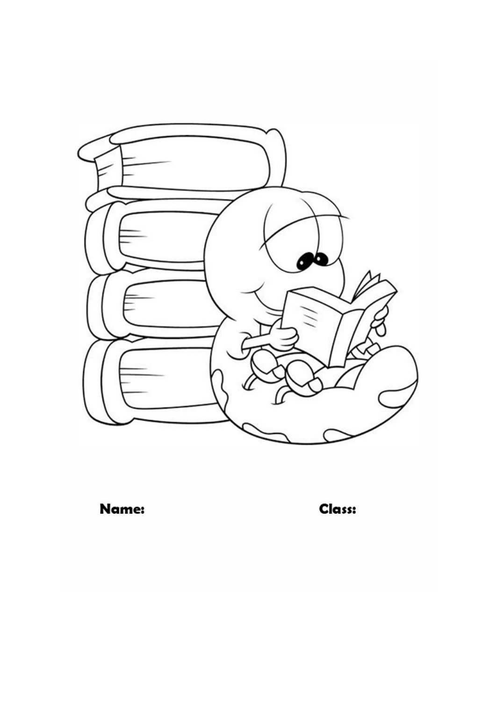

Name:

Class: